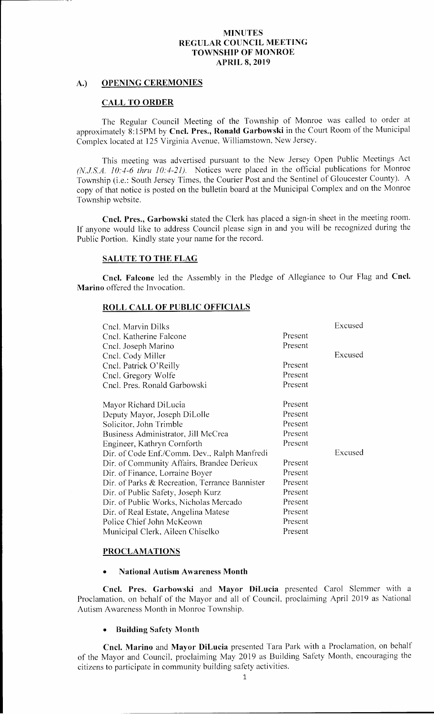# A.) OPENING CEREMONIES

#### CALL TO ORDER

The Regular Council Meeting of the Township of Monroe was called to order at approximately 8:15PM by Cncl. Pres., Ronald Garbowski in the Court Room of the Municipal Complex located at 125 Virginia Avenue, Williamstown, New Jersey.

This meeting was advertised pursuant to the New Jersey Open Public Meetings Act (N.J.S.A. 10:4-6 thru  $10:4-21$ ). Notices were placed in the official publications for Monroe Township (i.e.: South Jersey Times, the Courier Post and the Sentinel of Gloucester County). A copy of that notice is posted on the bulletin board at the Municipal Complex and on the Monroe Township website.

Cncl. Pres., Garbowski stated the Clerk has placed <sup>a</sup> sign-in sheet in the meeting room. If anyone would like to address Council please sign in and you will be recognized during the Public Portion. Kindly state your name for the record.

#### SALUTE TO THE FLAG

Cncl. Falcone led the Assembly in the Pledge of Allegiance to Our Flag and Cncl. Marino offered the Invocation.

## ROLL CALL OF PUBLIC OFFICIALS

| Cnel. Marvin Dilks                             |         | Excused |
|------------------------------------------------|---------|---------|
| Cncl. Katherine Falcone                        | Present |         |
| Cncl. Joseph Marino                            | Present |         |
| Cncl. Cody Miller                              |         | Excused |
| Cncl. Patrick O'Reilly                         | Present |         |
| Cncl. Gregory Wolfe                            | Present |         |
| Cncl. Pres. Ronald Garbowski                   | Present |         |
| Mayor Richard DiLucia                          | Present |         |
| Deputy Mayor, Joseph DiLolle                   | Present |         |
| Solicitor, John Trimble                        | Present |         |
| Business Administrator, Jill McCrea            | Present |         |
| Engineer, Kathryn Cornforth                    | Present |         |
| Dir. of Code Enf./Comm. Dev., Ralph Manfredi   |         | Excused |
| Dir. of Community Affairs, Brandee Derieux     | Present |         |
| Dir. of Finance, Lorraine Boyer                | Present |         |
| Dir. of Parks & Recreation, Terrance Bannister | Present |         |
| Dir. of Public Safety, Joseph Kurz             | Present |         |
| Dir. of Public Works, Nicholas Mercado         | Present |         |
| Dir. of Real Estate, Angelina Matese           | Present |         |
| Police Chief John McKeown                      | Present |         |
| Municipal Clerk, Aileen Chiselko               | Present |         |

## PROCLAMATIONS

#### National Autism Awareness Month

Cncl. Pres. Garbowski and Mayor DiLucia presented Carol Slemmer with a Proclamation, on behalf of the Mayor and all of Council, proclaiming April 2019 as National Autism Awareness Month in Monroe Township.

#### • Building Safety Month

Cncl. Marino and Mayor DiLucia presented Tara Park with <sup>a</sup> Proclamation, on behalf of the Mayor and Council, proclaiming May 2019 as Building Safety Month, encouraging the citizens to participate in community building safety activities.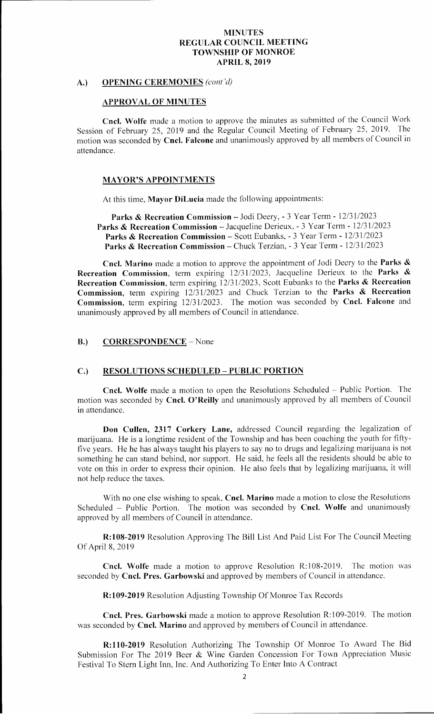## A.) OPENING CEREMONIES (cont'd)

#### APPROVAL OF MINUTES

Cncl. Wolfe made <sup>a</sup> motion to approve the minutes as submitted of the Council Work Session of February 25, 2019 and the Regular Council Meeting of February 25, 2019. The motion was seconded by Cncl. Falcone and unanimously approved by all members of Council in attendance.

#### **MAYOR'S APPOINTMENTS**

At this time, Mayor DiLucia made the following appointments:

Parks & Recreation Commission - Jodi Deery, - 3 Year Term - 12/31/2023 Parks & Recreation Commission - Jacqueline Derieux, - 3 Year Term - 12/31/2023 Parks & Recreation Commission – Scott Eubanks, - 3 Year Term - 12/31/2023 Parks & Recreation Commission – Chuck Terzian, - 3 Year Term - 12/31/2023

Cncl. Marino made a motion to approve the appointment of Jodi Deery to the Parks & Recreation Commission, term expiring  $12/31/2023$ , Jacqueline Derieux to the Parks & Recreation Commission, term expiring 12/31/2023, Scott Eubanks to the Parks & Recreation Commission, term expiring  $12/31/2023$  and Chuck Terzian to the Parks & Recreation Commission, term expiring 12/31/2023. The motion was seconded by Cncl. Falcone and unanimously approved by all members of Council in attendance.

# B.) CORRESPONDENCE – None

#### C.) RESOLUTIONS SCHEDULED —PUBLIC PORTION

Cncl. Wolfe made a motion to open the Resolutions Scheduled — Public Portion. The motion was seconded by Cncl. O'Reilly and unanimously approved by all members of Council in attendance.

Don Cullen, 2317 Corkery Lane, addressed Council regarding the legalization of marijuana. He is <sup>a</sup> longtime resident of the Township and has been coaching the youth for fiftyfive years. He he has always taught his players to say no to drugs and legalizing marijuana is not something he can stand behind, nor support. He said, he feels all the residents should be able to vote on this in order to express their opinion. He also feels that by legalizing marijuana, it will not help reduce the taxes.

With no one else wishing to speak, Cncl. Marino made a motion to close the Resolutions Scheduled - Public Portion. The motion was seconded by Cncl. Wolfe and unanimously approved by all members of Council in attendance.

R: 108-2019 Resolution Approving The Bill List And Paid List For The Council Meeting Of April 8, 2019

Cncl. Wolfe made a motion to approve Resolution R:108-2019. The motion was seconded by Cncl. Pres. Garbowski and approved by members of Council in attendance.

R:109-2019 Resolution Adjusting Township Of Monroe Tax Records

Cncl. Pres. Garbowski made a motion to approve Resolution R:109-2019. The motion was seconded by **Cncl. Marino** and approved by members of Council in attendance.

R:110-2019 Resolution Authorizing The Township Of Monroe To Award The Bid Submission For The 2019 Beer & Wine Garden Concession For Town Appreciation Music Festival To Stern Light Inn, Inc. And Authorizing To Enter Into A Contract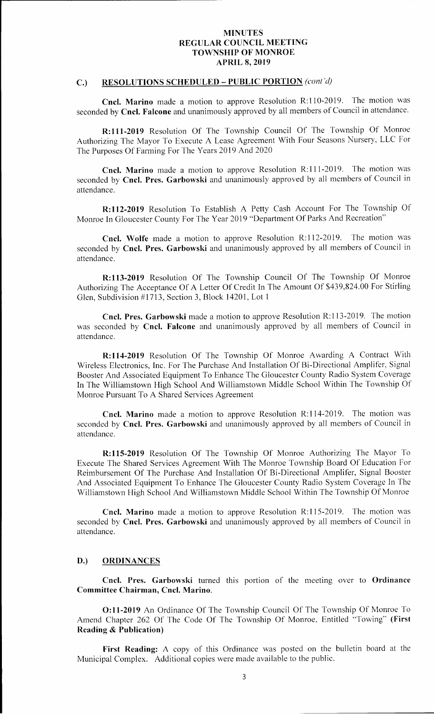## C.) RESOLUTIONS SCHEDULED – PUBLIC PORTION (cont'd)

Cncl. Marino made a motion to approve Resolution R:110-2019. The motion was seconded by Cncl. Falcone and unanimously approved by all members of Council in attendance.

R:111-2019 Resolution Of The Township Council Of The Township Of Monroe Authorizing The Mayor To Execute A Lease Agreement With Four Seasons Nursery, LLC For The Purposes Of Farming For The Years 2019 And 2020

Cncl. Marino made a motion to approve Resolution R:111-2019. The motion was seconded by Cncl. Pres. Garbowski and unanimously approved by all members of Council in attendance.

R: 112-2019 Resolution To Establish A Petty Cash Account For The Township Of Monroe In Gloucester County For The Year 2019 " Department Of Parks And Recreation"

Cncl. Wolfe made a motion to approve Resolution R:112-2019. The motion was seconded by Cncl. Pres. Garbowski and unanimously approved by all members of Council in attendance.

R: 113-2019 Resolution Of The Township Council Of The Township Of Monroe Authorizing The Acceptance Of A Letter Of Credit In The Amount Of \$439,824.00 For Stirling Glen, Subdivision #1713, Section 3, Block 14201, Lot 1

Cncl. Pres. Garbowski made a motion to approve Resolution R:113-2019. The motion was seconded by Cncl. Falcone and unanimously approved by all members of Council in attendance.

R:114-2019 Resolution Of The Township Of Monroe Awarding A Contract With Wireless Electronics, Inc. For The Purchase And Installation Of Bi- Directional Amplifer, Signal Booster And Associated Equipment To Enhance The Gloucester County Radio System Coverage In The Williamstown High School And Williamstown Middle School Within The Township Of Monroe Pursuant To A Shared Services Agreement

Cncl. Marino made a motion to approve Resolution R:114-2019. The motion was seconded by Cncl. Pres. Garbowski and unanimously approved by all members of Council in attendance.

R:115-2019 Resolution Of The Township Of Monroe Authorizing The Mayor To Execute The Shared Services Agreement With The Monroe Township Board Of Education For Reimbursement Of The Purchase And Installation Of Bi-Directional Amplifer, Signal Booster And Associated Equipment To Enhance The Gloucester County Radio System Coverage In The Williamstown High School And Williamstown Middle School Within The Township Of Monroe

Cncl. Marino made a motion to approve Resolution R:115-2019. The motion was seconded by Cncl. Pres. Garbowski and unanimously approved by all members of Council in attendance.

## D.) ORDINANCES

Cncl. Pres. Garbowski turned this portion of the meeting over to Ordinance Committee Chairman, Cncl. Marino.

0: 11- 2019 An Ordinance Of The Township Council Of The Township Of Monroe To Amend Chapter 262 Of The Code Of The Township Of Monroe, Entitled "Towing" (First Reading & Publication)

First Reading: A copy of this Ordinance was posted on the bulletin board at the Municipal Complex. Additional copies were made available to the public.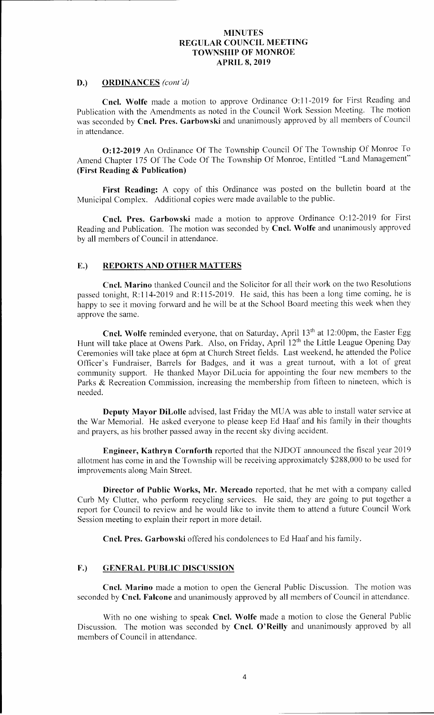# D.) ORDINANCES (cont'd)

Cncl. Wolfe made a motion to approve Ordinance O:11-2019 for First Reading and Publication with the Amendments as noted in the Council Work Session Meeting. The motion was seconded by Cncl. Pres. Garbowski and unanimously approved by all members of Council in attendance.

0:12- 2019 An Ordinance Of The Township Council Of The Township Of Monroe To Amend Chapter 175 Of The Code Of The Township Of Monroe, Entitled "Land Management" First Reading & Publication)

First Reading: A copy of this Ordinance was posted on the bulletin board at the Municipal Complex. Additional copies were made available to the public.

Cncl. Pres. Garbowski made a motion to approve Ordinance O:12-2019 for First Reading and Publication. The motion was seconded by Cncl. Wolfe and unanimously approved by all members of Council in attendance.

# E.) REPORTS AND OTHER MATTERS

Cncl. Marino thanked Council and the Solicitor for all their work on the two Resolutions passed tonight, R:114-2019 and R:115-2019. He said, this has been a long time coming, he is happy to see it moving forward and he will be at the School Board meeting this week when they approve the same.

Cncl. Wolfe reminded everyone, that on Saturday, April 13<sup>th</sup> at 12:00pm, the Easter Egg Hunt will take place at Owens Park. Also, on Friday, April 12<sup>th</sup> the Little League Opening Day Ceremonies will take place at 6pm at Church Street fields. Last weekend, he attended the Police Officer's Fundraiser, Barrels for Badges, and it was a great turnout, with a lot of great community support. He thanked Mayor DiLucia for appointing the four new members to the Parks & Recreation Commission, increasing the membership from fifteen to nineteen, which is needed.

Deputy Mayor DiLolle advised, last Friday the MUA was able to install water service at the War Memorial. He asked everyone to please keep Ed Haaf and his family in their thoughts and prayers, as his brother passed away in the recent sky diving accident.

Engineer, Kathryn Cornforth reported that the NJDOT announced the fiscal year 2019 allotment has come in and the Township will be receiving approximately \$288, 000 to be used for improvements along Main Street.

Director of Public Works, Mr. Mercado reported, that he met with <sup>a</sup> company called Curb My Clutter, who perform recycling services. He said, they are going to put together <sup>a</sup> report for Council to review and he would like to invite them to attend a future Council Work Session meeting to explain their report in more detail.

Cncl. Pres. Garbowski offered his condolences to Ed Haaf and his family.

## F.) GENERAL PUBLIC DISCUSSION

Cncl. Marino made <sup>a</sup> motion to open the General Public Discussion. The motion was seconded by Cncl. Falcone and unanimously approved by all members of Council in attendance.

With no one wishing to speak Cncl. Wolfe made a motion to close the General Public Discussion. The motion was seconded by Cncl. O'Reilly and unanimously approved by all members of Council in attendance.